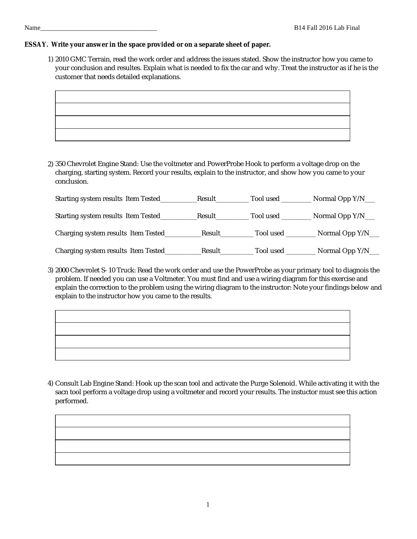1) 2010 GMC Terrain, read the work order and address the issues stated. Show the instructor how you came to your conclusion and resultes. Explain what is needed to fix the car and why. Treat the instructor as if he is the customer that needs detailed explanations.

2) 350 Chevrolet Engine Stand: Use the voltmeter and PowerProbe Hook to perform a voltage drop on the charging, starting system. Record your results, explain to the instructor, and show how you came to your conclusion.

| Starting system results Item Tested  | Result | Tool used | Normal Opp Y/N__ |
|--------------------------------------|--------|-----------|------------------|
| Starting system results Item Tested_ | Result | Tool used | Normal Opp Y/N__ |
| Charging system results Item Tested_ | Result | Tool used | Normal Opp Y/N_  |
| Charging system results Item Tested_ | Result | Tool used | Normal Opp Y/N_  |

3) 2000 Chevrolet S-10 Truck: Read the work order and use the PowerProbe as your primary tool to diagnois the problem. If needed you can use a Voltmeter. You must find and use a wiring diagram for this exercise and explain the correction to the problem using the wiring diagram to the instructor: Note your findings below and explain to the instructor how you came to the results.

4) Consult Lab Engine Stand: Hook up the scan tool and activate the Purge Solenoid. While activating it with the sacn tool perform a voltage drop using a voltmeter and record your results. The instuctor must see this action performed.

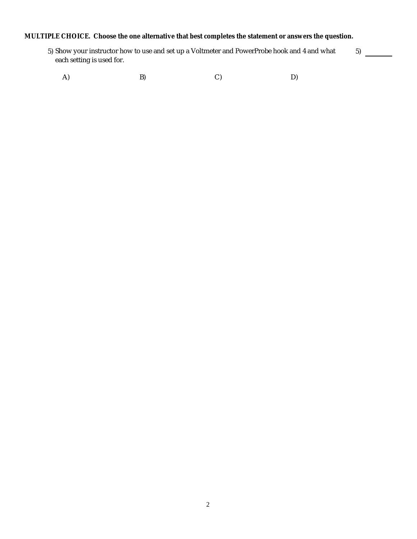**MULTIPLE CHOICE. Choose the one alternative that best completes the statement or answers the question.**

5) Show your instructor how to use and set up a Voltmeter and PowerProbe hook and 4 and what each setting is used for. 5)

A) B) C) D)